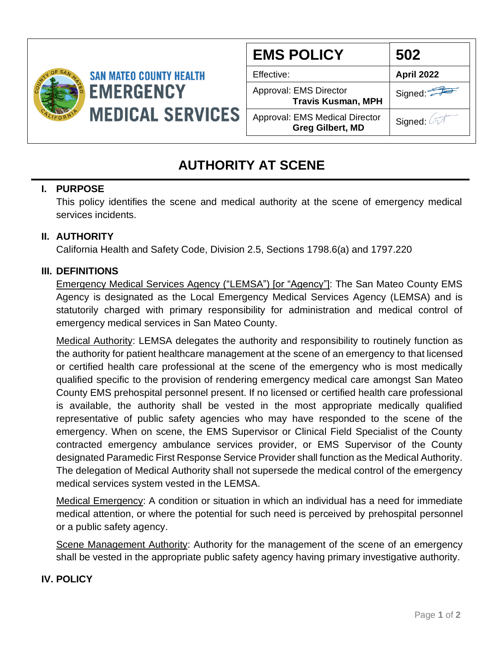

| <b>EMS POLICY</b>                                                | 502               |
|------------------------------------------------------------------|-------------------|
| Effective:                                                       | <b>April 2022</b> |
| Approval: EMS Director<br><b>Travis Kusman, MPH</b>              | Signed:           |
| <b>Approval: EMS Medical Director</b><br><b>Greg Gilbert, MD</b> | Signed:           |

# **AUTHORITY AT SCENE**

# **I. PURPOSE**

This policy identifies the scene and medical authority at the scene of emergency medical services incidents.

# **II. AUTHORITY**

California Health and Safety Code, Division 2.5, Sections 1798.6(a) and 1797.220

# **III. DEFINITIONS**

Emergency Medical Services Agency ("LEMSA") [or "Agency"]: The San Mateo County EMS Agency is designated as the Local Emergency Medical Services Agency (LEMSA) and is statutorily charged with primary responsibility for administration and medical control of emergency medical services in San Mateo County.

Medical Authority: LEMSA delegates the authority and responsibility to routinely function as the authority for patient healthcare management at the scene of an emergency to that licensed or certified health care professional at the scene of the emergency who is most medically qualified specific to the provision of rendering emergency medical care amongst San Mateo County EMS prehospital personnel present. If no licensed or certified health care professional is available, the authority shall be vested in the most appropriate medically qualified representative of public safety agencies who may have responded to the scene of the emergency. When on scene, the EMS Supervisor or Clinical Field Specialist of the County contracted emergency ambulance services provider, or EMS Supervisor of the County designated Paramedic First Response Service Provider shall function as the Medical Authority. The delegation of Medical Authority shall not supersede the medical control of the emergency medical services system vested in the LEMSA.

Medical Emergency: A condition or situation in which an individual has a need for immediate medical attention, or where the potential for such need is perceived by prehospital personnel or a public safety agency.

Scene Management Authority: Authority for the management of the scene of an emergency shall be vested in the appropriate public safety agency having primary investigative authority.

# **IV. POLICY**